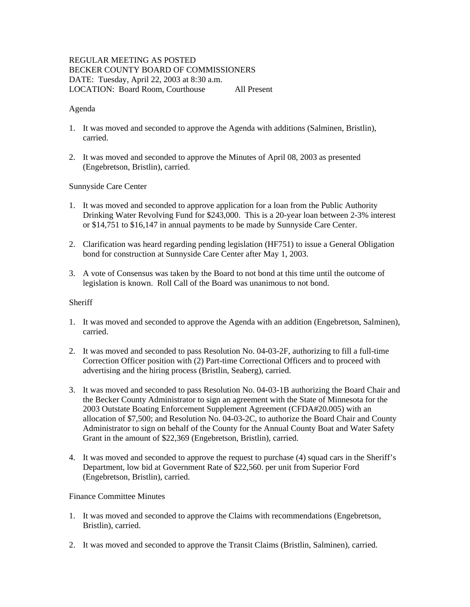# REGULAR MEETING AS POSTED BECKER COUNTY BOARD OF COMMISSIONERS DATE: Tuesday, April 22, 2003 at 8:30 a.m. LOCATION: Board Room, Courthouse All Present

## Agenda

- 1. It was moved and seconded to approve the Agenda with additions (Salminen, Bristlin), carried.
- 2. It was moved and seconded to approve the Minutes of April 08, 2003 as presented (Engebretson, Bristlin), carried.

# Sunnyside Care Center

- 1. It was moved and seconded to approve application for a loan from the Public Authority Drinking Water Revolving Fund for \$243,000. This is a 20-year loan between 2-3% interest or \$14,751 to \$16,147 in annual payments to be made by Sunnyside Care Center.
- 2. Clarification was heard regarding pending legislation (HF751) to issue a General Obligation bond for construction at Sunnyside Care Center after May 1, 2003.
- 3. A vote of Consensus was taken by the Board to not bond at this time until the outcome of legislation is known. Roll Call of the Board was unanimous to not bond.

## Sheriff

- 1. It was moved and seconded to approve the Agenda with an addition (Engebretson, Salminen), carried.
- 2. It was moved and seconded to pass Resolution No. 04-03-2F, authorizing to fill a full-time Correction Officer position with (2) Part-time Correctional Officers and to proceed with advertising and the hiring process (Bristlin, Seaberg), carried.
- 3. It was moved and seconded to pass Resolution No. 04-03-1B authorizing the Board Chair and the Becker County Administrator to sign an agreement with the State of Minnesota for the 2003 Outstate Boating Enforcement Supplement Agreement (CFDA#20.005) with an allocation of \$7,500; and Resolution No. 04-03-2C, to authorize the Board Chair and County Administrator to sign on behalf of the County for the Annual County Boat and Water Safety Grant in the amount of \$22,369 (Engebretson, Bristlin), carried.
- 4. It was moved and seconded to approve the request to purchase (4) squad cars in the Sheriff's Department, low bid at Government Rate of \$22,560. per unit from Superior Ford (Engebretson, Bristlin), carried.

#### Finance Committee Minutes

- 1. It was moved and seconded to approve the Claims with recommendations (Engebretson, Bristlin), carried.
- 2. It was moved and seconded to approve the Transit Claims (Bristlin, Salminen), carried.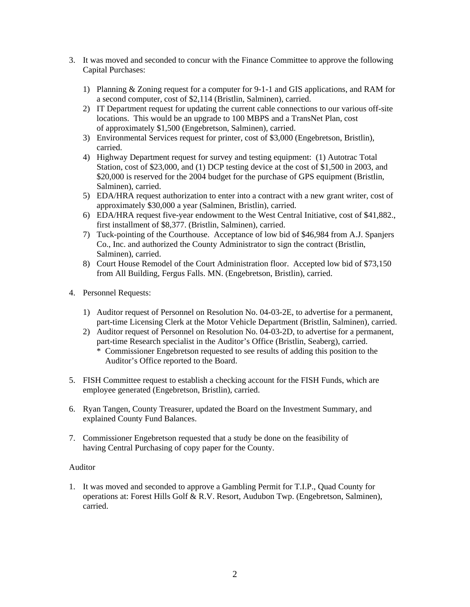- 3. It was moved and seconded to concur with the Finance Committee to approve the following Capital Purchases:
	- 1) Planning & Zoning request for a computer for 9-1-1 and GIS applications, and RAM for a second computer, cost of \$2,114 (Bristlin, Salminen), carried.
	- 2) IT Department request for updating the current cable connections to our various off-site locations. This would be an upgrade to 100 MBPS and a TransNet Plan, cost of approximately \$1,500 (Engebretson, Salminen), carried.
	- 3) Environmental Services request for printer, cost of \$3,000 (Engebretson, Bristlin), carried.
	- 4) Highway Department request for survey and testing equipment: (1) Autotrac Total Station, cost of \$23,000, and (1) DCP testing device at the cost of \$1,500 in 2003, and \$20,000 is reserved for the 2004 budget for the purchase of GPS equipment (Bristlin, Salminen), carried.
	- 5) EDA/HRA request authorization to enter into a contract with a new grant writer, cost of approximately \$30,000 a year (Salminen, Bristlin), carried.
	- 6) EDA/HRA request five-year endowment to the West Central Initiative, cost of \$41,882., first installment of \$8,377. (Bristlin, Salminen), carried.
	- 7) Tuck-pointing of the Courthouse. Acceptance of low bid of \$46,984 from A.J. Spanjers Co., Inc. and authorized the County Administrator to sign the contract (Bristlin, Salminen), carried.
	- 8) Court House Remodel of the Court Administration floor. Accepted low bid of \$73,150 from All Building, Fergus Falls. MN. (Engebretson, Bristlin), carried.
- 4. Personnel Requests:
	- 1) Auditor request of Personnel on Resolution No. 04-03-2E, to advertise for a permanent, part-time Licensing Clerk at the Motor Vehicle Department (Bristlin, Salminen), carried.
	- 2) Auditor request of Personnel on Resolution No. 04-03-2D, to advertise for a permanent, part-time Research specialist in the Auditor's Office (Bristlin, Seaberg), carried. \* Commissioner Engebretson requested to see results of adding this position to the Auditor's Office reported to the Board.
- 5. FISH Committee request to establish a checking account for the FISH Funds, which are employee generated (Engebretson, Bristlin), carried.
- 6. Ryan Tangen, County Treasurer, updated the Board on the Investment Summary, and explained County Fund Balances.
- 7. Commissioner Engebretson requested that a study be done on the feasibility of having Central Purchasing of copy paper for the County.

# Auditor

1. It was moved and seconded to approve a Gambling Permit for T.I.P., Quad County for operations at: Forest Hills Golf & R.V. Resort, Audubon Twp. (Engebretson, Salminen), carried.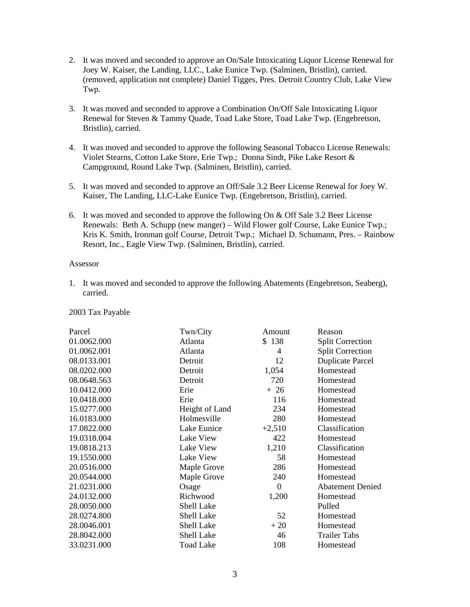- 2. It was moved and seconded to approve an On/Sale Intoxicating Liquor License Renewal for Joey W. Kaiser, the Landing, LLC., Lake Eunice Twp. (Salminen, Bristlin), carried. (removed, application not complete) Daniel Tigges, Pres. Detroit Country Club, Lake View Twp.
- 3. It was moved and seconded to approve a Combination On/Off Sale Intoxicating Liquor Renewal for Steven & Tammy Quade, Toad Lake Store, Toad Lake Twp. (Engebretson, Bristlin), carried.
- 4. It was moved and seconded to approve the following Seasonal Tobacco License Renewals: Violet Stearns, Cotton Lake Store, Erie Twp.; Donna Sindt, Pike Lake Resort & Campground, Round Lake Twp. (Salminen, Bristlin), carried.
- 5. It was moved and seconded to approve an Off/Sale 3.2 Beer License Renewal for Joey W. Kaiser, The Landing, LLC-Lake Eunice Twp. (Engebretson, Bristlin), carried.
- 6. It was moved and seconded to approve the following On & Off Sale 3.2 Beer License Renewals: Beth A. Schupp (new manger) – Wild Flower golf Course, Lake Eunice Twp.; Kris K. Smith, Ironman golf Course, Detroit Twp.; Michael D. Schumann, Pres. – Rainbow Resort, Inc., Eagle View Twp. (Salminen, Bristlin), carried.

## Assessor

1. It was moved and seconded to approve the following Abatements (Engebretson, Seaberg), carried.

#### 2003 Tax Payable

| Parcel      | Twn/City          | Amount           | Reason                  |
|-------------|-------------------|------------------|-------------------------|
| 01.0062.000 | Atlanta           | \$138            | <b>Split Correction</b> |
| 01.0062.001 | Atlanta           | 4                | <b>Split Correction</b> |
| 08.0133.001 | Detroit           | 12               | <b>Duplicate Parcel</b> |
| 08.0202.000 | Detroit           | 1,054            | Homestead               |
| 08.0648.563 | Detroit           | 720              | Homestead               |
| 10.0412.000 | Erie              | $+26$            | Homestead               |
| 10.0418.000 | Erie              | 116              | Homestead               |
| 15.0277.000 | Height of Land    | 234              | Homestead               |
| 16.0183.000 | Holmesville       | 280              | Homestead               |
| 17.0822.000 | Lake Eunice       | $+2,510$         | Classification          |
| 19.0318.004 | Lake View         | 422              | Homestead               |
| 19.0818.213 | Lake View         | 1,210            | Classification          |
| 19.1550.000 | Lake View         | 58               | Homestead               |
| 20.0516.000 | Maple Grove       | 286              | Homestead               |
| 20.0544.000 | Maple Grove       | 240              | Homestead               |
| 21.0231.000 | Osage             | $\boldsymbol{0}$ | <b>Abatement Denied</b> |
| 24.0132.000 | Richwood          | 1,200            | Homestead               |
| 28.0050.000 | Shell Lake        |                  | Pulled                  |
| 28.0274.800 | <b>Shell Lake</b> | 52               | Homestead               |
| 28.0046.001 | Shell Lake        | $+20$            | Homestead               |
| 28.8042.000 | Shell Lake        | 46               | <b>Trailer Tabs</b>     |
| 33.0231.000 | <b>Toad Lake</b>  | 108              | Homestead               |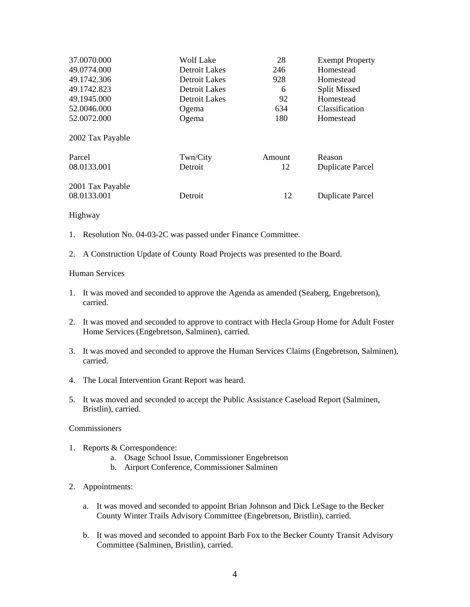| 37.0070.000      | <b>Wolf Lake</b> | 28     | <b>Exempt Property</b>  |
|------------------|------------------|--------|-------------------------|
| 49.0774.000      | Detroit Lakes    | 246    | Homestead               |
| 49.1742.306      | Detroit Lakes    | 928    | Homestead               |
| 49.1742.823      | Detroit Lakes    | 6      | <b>Split Missed</b>     |
| 49.1945.000      | Detroit Lakes    | 92     | Homestead               |
| 52.0046.000      | Ogema            | 634    | Classification          |
| 52.0072.000      | Ogema            | 180    | Homestead               |
| 2002 Tax Payable |                  |        |                         |
| Parcel           | Twn/City         | Amount | Reason                  |
| 08.0133.001      | Detroit          | 12     | <b>Duplicate Parcel</b> |
| 2001 Tax Payable |                  |        |                         |
| 08.0133.001      | Detroit          | 12     | <b>Duplicate Parcel</b> |

# Highway

- 1. Resolution No. 04-03-2C was passed under Finance Committee.
- 2. A Construction Update of County Road Projects was presented to the Board.

## Human Services

- 1. It was moved and seconded to approve the Agenda as amended (Seaberg, Engebretson), carried.
- 2. It was moved and seconded to approve to contract with Hecla Group Home for Adult Foster Home Services (Engebretson, Salminen), carried.
- 3. It was moved and seconded to approve the Human Services Claims (Engebretson, Salminen), carried.
- 4. The Local Intervention Grant Report was heard.
- 5. It was moved and seconded to accept the Public Assistance Caseload Report (Salminen, Bristlin), carried.

### Commissioners

- 1. Reports & Correspondence:
	- a. Osage School Issue, Commissioner Engebretson
	- b. Airport Conference, Commissioner Salminen
- 2. Appointments:
	- a. It was moved and seconded to appoint Brian Johnson and Dick LeSage to the Becker County Winter Trails Advisory Committee (Engebretson, Bristlin), carried.
	- b. It was moved and seconded to appoint Barb Fox to the Becker County Transit Advisory Committee (Salminen, Bristlin), carried.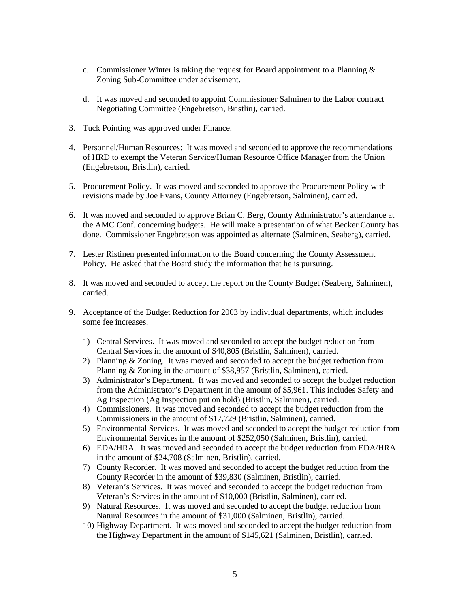- c. Commissioner Winter is taking the request for Board appointment to a Planning  $\&$ Zoning Sub-Committee under advisement.
- d. It was moved and seconded to appoint Commissioner Salminen to the Labor contract Negotiating Committee (Engebretson, Bristlin), carried.
- 3. Tuck Pointing was approved under Finance.
- 4. Personnel/Human Resources: It was moved and seconded to approve the recommendations of HRD to exempt the Veteran Service/Human Resource Office Manager from the Union (Engebretson, Bristlin), carried.
- 5. Procurement Policy. It was moved and seconded to approve the Procurement Policy with revisions made by Joe Evans, County Attorney (Engebretson, Salminen), carried.
- 6. It was moved and seconded to approve Brian C. Berg, County Administrator's attendance at the AMC Conf. concerning budgets. He will make a presentation of what Becker County has done. Commissioner Engebretson was appointed as alternate (Salminen, Seaberg), carried.
- 7. Lester Ristinen presented information to the Board concerning the County Assessment Policy. He asked that the Board study the information that he is pursuing.
- 8. It was moved and seconded to accept the report on the County Budget (Seaberg, Salminen), carried.
- 9. Acceptance of the Budget Reduction for 2003 by individual departments, which includes some fee increases.
	- 1) Central Services. It was moved and seconded to accept the budget reduction from Central Services in the amount of \$40,805 (Bristlin, Salminen), carried.
	- 2) Planning & Zoning. It was moved and seconded to accept the budget reduction from Planning & Zoning in the amount of \$38,957 (Bristlin, Salminen), carried.
	- 3) Administrator's Department. It was moved and seconded to accept the budget reduction from the Administrator's Department in the amount of \$5,961. This includes Safety and Ag Inspection (Ag Inspection put on hold) (Bristlin, Salminen), carried.
	- 4) Commissioners. It was moved and seconded to accept the budget reduction from the Commissioners in the amount of \$17,729 (Bristlin, Salminen), carried.
	- 5) Environmental Services. It was moved and seconded to accept the budget reduction from Environmental Services in the amount of \$252,050 (Salminen, Bristlin), carried.
	- 6) EDA/HRA. It was moved and seconded to accept the budget reduction from EDA/HRA in the amount of \$24,708 (Salminen, Bristlin), carried.
	- 7) County Recorder. It was moved and seconded to accept the budget reduction from the County Recorder in the amount of \$39,830 (Salminen, Bristlin), carried.
	- 8) Veteran's Services. It was moved and seconded to accept the budget reduction from Veteran's Services in the amount of \$10,000 (Bristlin, Salminen), carried.
	- 9) Natural Resources. It was moved and seconded to accept the budget reduction from Natural Resources in the amount of \$31,000 (Salminen, Bristlin), carried.
	- 10) Highway Department. It was moved and seconded to accept the budget reduction from the Highway Department in the amount of \$145,621 (Salminen, Bristlin), carried.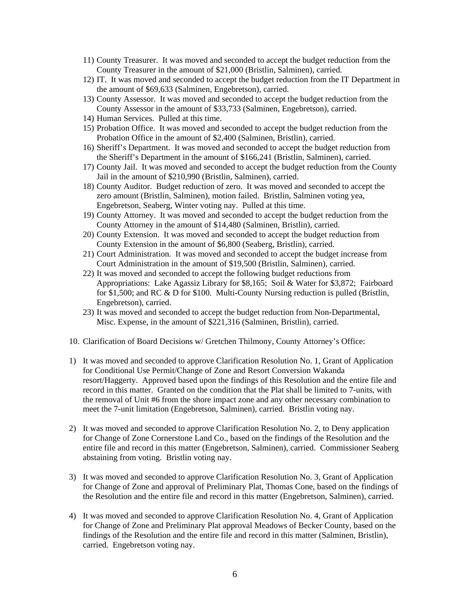- 11) County Treasurer. It was moved and seconded to accept the budget reduction from the County Treasurer in the amount of \$21,000 (Bristlin, Salminen), carried.
- 12) IT. It was moved and seconded to accept the budget reduction from the IT Department in the amount of \$69,633 (Salminen, Engebretson), carried.
- 13) County Assessor. It was moved and seconded to accept the budget reduction from the County Assessor in the amount of \$33,733 (Salminen, Engebretson), carried.
- 14) Human Services. Pulled at this time.
- 15) Probation Office. It was moved and seconded to accept the budget reduction from the Probation Office in the amount of \$2,400 (Salminen, Bristlin), carried.
- 16) Sheriff's Department. It was moved and seconded to accept the budget reduction from the Sheriff's Department in the amount of \$166,241 (Bristlin, Salminen), carried.
- 17) County Jail. It was moved and seconded to accept the budget reduction from the County Jail in the amount of \$210,990 (Bristlin, Salminen), carried.
- 18) County Auditor. Budget reduction of zero. It was moved and seconded to accept the zero amount (Bristlin, Salminen), motion failed. Bristlin, Salminen voting yea, Engebretson, Seaberg, Winter voting nay. Pulled at this time.
- 19) County Attorney. It was moved and seconded to accept the budget reduction from the County Attorney in the amount of \$14,480 (Salminen, Bristlin), carried.
- 20) County Extension. It was moved and seconded to accept the budget reduction from County Extension in the amount of \$6,800 (Seaberg, Bristlin), carried.
- 21) Court Administration. It was moved and seconded to accept the budget increase from Court Administration in the amount of \$19,500 (Bristlin, Salminen), carried.
- 22) It was moved and seconded to accept the following budget reductions from Appropriations: Lake Agassiz Library for \$8,165; Soil & Water for \$3,872; Fairboard for \$1,500; and RC & D for \$100. Multi-County Nursing reduction is pulled (Bristlin, Engebretson), carried.
- 23) It was moved and seconded to accept the budget reduction from Non-Departmental, Misc. Expense, in the amount of \$221,316 (Salminen, Bristlin), carried.
- 10. Clarification of Board Decisions w/ Gretchen Thilmony, County Attorney's Office:
- 1) It was moved and seconded to approve Clarification Resolution No. 1, Grant of Application for Conditional Use Permit/Change of Zone and Resort Conversion Wakanda resort/Haggerty. Approved based upon the findings of this Resolution and the entire file and record in this matter. Granted on the condition that the Plat shall be limited to 7-units, with the removal of Unit #6 from the shore impact zone and any other necessary combination to meet the 7-unit limitation (Engebretson, Salminen), carried. Bristlin voting nay.
- 2) It was moved and seconded to approve Clarification Resolution No. 2, to Deny application for Change of Zone Cornerstone Land Co., based on the findings of the Resolution and the entire file and record in this matter (Engebretson, Salminen), carried. Commissioner Seaberg abstaining from voting. Bristlin voting nay.
- 3) It was moved and seconded to approve Clarification Resolution No. 3, Grant of Application for Change of Zone and approval of Preliminary Plat, Thomas Cone, based on the findings of the Resolution and the entire file and record in this matter (Engebretson, Salminen), carried.
- 4) It was moved and seconded to approve Clarification Resolution No. 4, Grant of Application for Change of Zone and Preliminary Plat approval Meadows of Becker County, based on the findings of the Resolution and the entire file and record in this matter (Salminen, Bristlin), carried. Engebretson voting nay.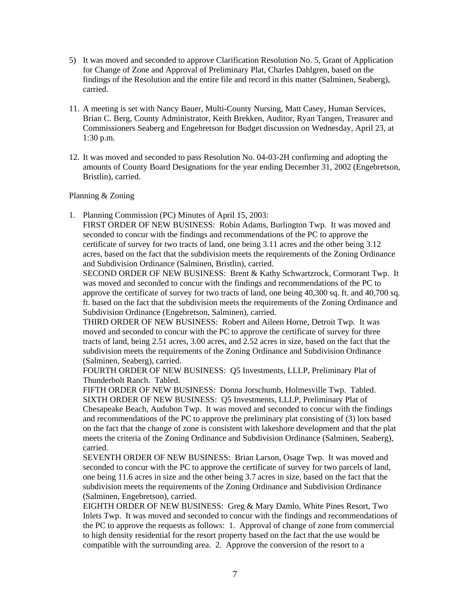- 5) It was moved and seconded to approve Clarification Resolution No. 5, Grant of Application for Change of Zone and Approval of Preliminary Plat, Charles Dahlgren, based on the findings of the Resolution and the entire file and record in this matter (Salminen, Seaberg), carried.
- 11. A meeting is set with Nancy Bauer, Multi-County Nursing, Matt Casey, Human Services, Brian C. Berg, County Administrator, Keith Brekken, Auditor, Ryan Tangen, Treasurer and Commissioners Seaberg and Engebretson for Budget discussion on Wednesday, April 23, at 1:30 p.m.
- 12. It was moved and seconded to pass Resolution No. 04-03-2H confirming and adopting the amounts of County Board Designations for the year ending December 31, 2002 (Engebretson, Bristlin), carried.

## Planning & Zoning

1. Planning Commission (PC) Minutes of April 15, 2003:

FIRST ORDER OF NEW BUSINESS: Robin Adams, Burlington Twp. It was moved and seconded to concur with the findings and recommendations of the PC to approve the certificate of survey for two tracts of land, one being 3.11 acres and the other being 3.12 acres, based on the fact that the subdivision meets the requirements of the Zoning Ordinance and Subdivision Ordinance (Salminen, Bristlin), carried.

SECOND ORDER OF NEW BUSINESS: Brent & Kathy Schwartzrock, Cormorant Twp. It was moved and seconded to concur with the findings and recommendations of the PC to approve the certificate of survey for two tracts of land, one being 40,300 sq. ft. and 40,700 sq. ft. based on the fact that the subdivision meets the requirements of the Zoning Ordinance and Subdivision Ordinance (Engebretson, Salminen), carried.

THIRD ORDER OF NEW BUSINESS: Robert and Aileen Horne, Detroit Twp. It was moved and seconded to concur with the PC to approve the certificate of survey for three tracts of land, being 2.51 acres, 3.00 acres, and 2.52 acres in size, based on the fact that the subdivision meets the requirements of the Zoning Ordinance and Subdivision Ordinance (Salminen, Seaberg), carried.

FOURTH ORDER OF NEW BUSINESS: Q5 Investments, LLLP, Preliminary Plat of Thunderbolt Ranch. Tabled.

FIFTH ORDER OF NEW BUSINESS: Donna Jorschumb, Holmesville Twp. Tabled. SIXTH ORDER OF NEW BUSINESS: Q5 Investments, LLLP, Preliminary Plat of Chesapeake Beach, Audubon Twp. It was moved and seconded to concur with the findings and recommendations of the PC to approve the preliminary plat consisting of (3) lots based on the fact that the change of zone is consistent with lakeshore development and that the plat meets the criteria of the Zoning Ordinance and Subdivision Ordinance (Salminen, Seaberg), carried.

SEVENTH ORDER OF NEW BUSINESS: Brian Larson, Osage Twp. It was moved and seconded to concur with the PC to approve the certificate of survey for two parcels of land, one being 11.6 acres in size and the other being 3.7 acres in size, based on the fact that the subdivision meets the requirements of the Zoning Ordinance and Subdivision Ordinance (Salminen, Engebretson), carried.

EIGHTH ORDER OF NEW BUSINESS: Greg & Mary Damlo, White Pines Resort, Two Inlets Twp. It was moved and seconded to concur with the findings and recommendations of the PC to approve the requests as follows: 1. Approval of change of zone from commercial to high density residential for the resort property based on the fact that the use would be compatible with the surrounding area. 2. Approve the conversion of the resort to a